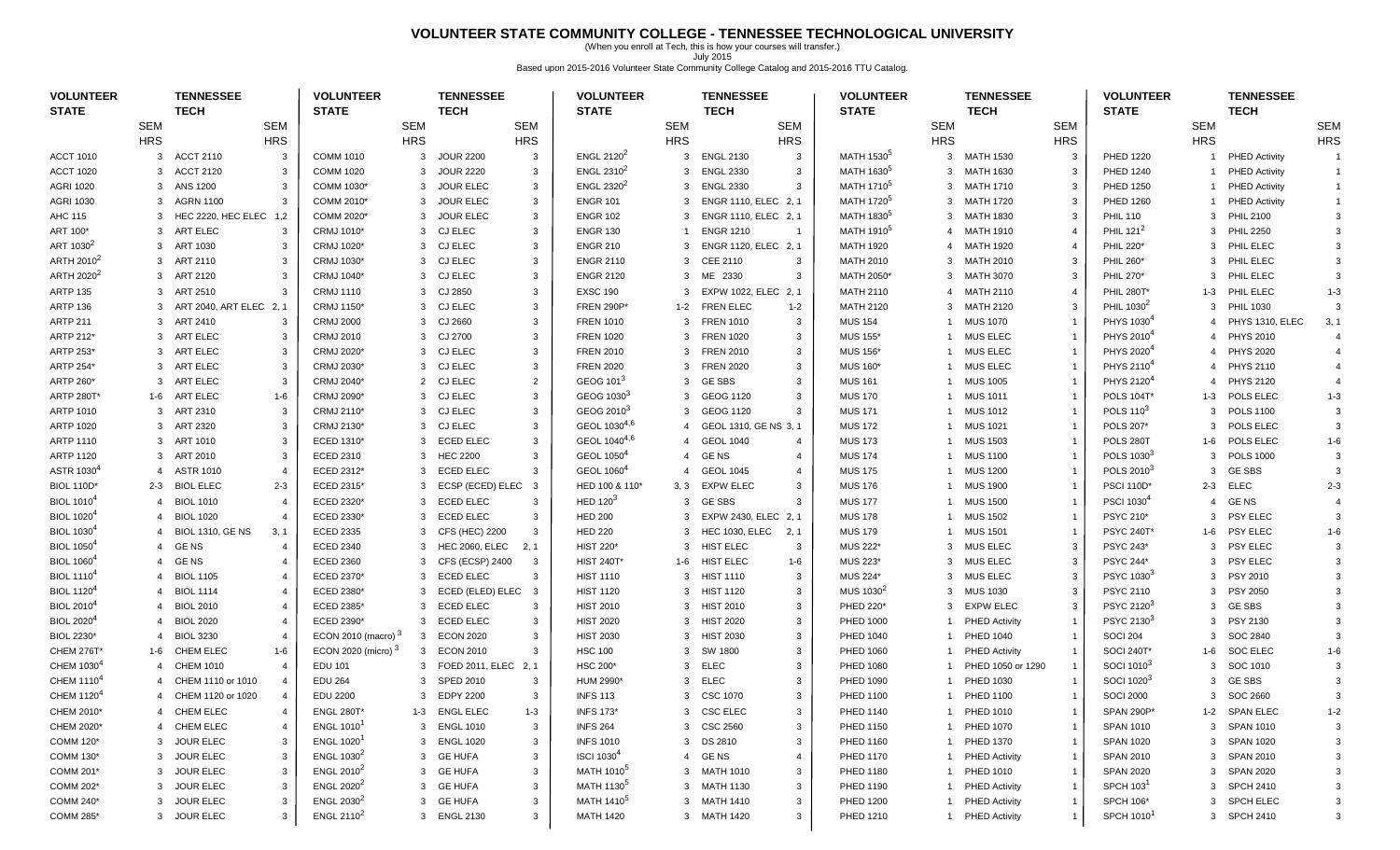### **VOLUNTEER STATE COMMUNITY COLLEGE - TENNESSEE TECHNOLOGICAL UNIVERSITY**

(When you enroll at Tech, this is how your courses will transfer.) July 2015 Based upon 2015-2016 Volunteer State Community College Catalog and 2015-2016 TTU Catalog.

| <b>VOLUNTEER</b><br><b>STATE</b> |                | <b>TENNESSEE</b><br><b>TECH</b>       | <b>VOLUNTEER</b><br><b>STATE</b>     |            | <b>TENNESSEE</b><br><b>TECH</b> |                | <b>VOLUNTEER</b><br><b>STATE</b>    |               | <b>TENNESSEE</b><br><b>TECH</b> |                | <b>VOLUNTEER</b><br><b>STATE</b>     |                | <b>TENNESSEE</b><br><b>TECH</b> |                        | <b>VOLUNTEER</b><br><b>STATE</b>     |                | <b>TENNESSEE</b><br><b>TECH</b> |                |
|----------------------------------|----------------|---------------------------------------|--------------------------------------|------------|---------------------------------|----------------|-------------------------------------|---------------|---------------------------------|----------------|--------------------------------------|----------------|---------------------------------|------------------------|--------------------------------------|----------------|---------------------------------|----------------|
|                                  | <b>SEM</b>     | <b>SEM</b>                            |                                      | <b>SEM</b> |                                 | <b>SEM</b>     |                                     | <b>SEM</b>    |                                 | <b>SEM</b>     |                                      | <b>SEM</b>     |                                 | <b>SEM</b>             |                                      | <b>SEM</b>     |                                 | <b>SEM</b>     |
|                                  | <b>HRS</b>     | <b>HRS</b>                            |                                      | <b>HRS</b> |                                 | <b>HRS</b>     |                                     | <b>HRS</b>    |                                 | <b>HRS</b>     |                                      | <b>HRS</b>     |                                 | <b>HRS</b>             |                                      | <b>HRS</b>     |                                 | <b>HRS</b>     |
| <b>ACCT 1010</b>                 | 3              | <b>ACCT 2110</b><br>3                 | <b>COMM 1010</b>                     | 3          | <b>JOUR 2200</b>                | $\mathbf{3}$   | ENGL 2120 <sup>2</sup>              | 3             | <b>ENGL 2130</b>                | $\mathbf{3}$   | MATH 1530 <sup>5</sup>               | 3              | <b>MATH 1530</b>                | 3                      | <b>PHED 1220</b>                     | -1             | <b>PHED Activity</b>            | $\overline{1}$ |
| <b>ACCT 1020</b>                 | 3              | <b>ACCT 2120</b><br>3                 | <b>COMM 1020</b>                     | 3          | <b>JOUR 2220</b>                | 3              | ENGL $2310^2$                       |               | 3 ENGL 2330                     | 3              | MATH 1630 <sup>5</sup>               | 3              | MATH 1630                       | 3                      | <b>PHED 1240</b>                     | $\overline{1}$ | <b>PHED Activity</b>            | $\overline{1}$ |
| <b>AGRI 1020</b>                 | 3              | ANS 1200<br>3                         | COMM 1030*                           | 3          | <b>JOUR ELEC</b>                | 3              | ENGL 2320 <sup>2</sup>              |               | 3 ENGL 2330                     | 3              | MATH 1710 <sup>5</sup>               |                | 3 MATH 1710                     | 3                      | <b>PHED 1250</b>                     | $\overline{1}$ | <b>PHED Activity</b>            | $\overline{1}$ |
| <b>AGRI 1030</b>                 | 3              | AGRN 1100<br>3                        | COMM 2010*                           | 3          | <b>JOUR ELEC</b>                | 3              | <b>ENGR 101</b>                     |               | 3 ENGR 1110, ELEC 2, 1          |                | MATH 1720 <sup>5</sup>               | 3              | MATH 1720                       | 3                      | <b>PHED 1260</b>                     | -1             | <b>PHED Activity</b>            |                |
| AHC 115                          | 3              | HEC 2220, HEC ELEC 1,2                | COMM 2020*                           | 3          | <b>JOUR ELEC</b>                | 3              | <b>ENGR 102</b>                     | $\mathcal{B}$ | ENGR 1110, ELEC 2, 1            |                | MATH 1830 <sup>5</sup>               | 3              | MATH 1830                       | 3                      | <b>PHIL 110</b>                      | 3              | <b>PHIL 2100</b>                |                |
| ART 100*                         | 3              | ART ELEC<br>3                         | CRMJ 1010*                           | 3          | <b>CJ ELEC</b>                  | 3              | <b>ENGR 130</b>                     |               | <b>ENGR 1210</b>                | $\overline{1}$ | MATH 1910 <sup>5</sup>               | 4              | <b>MATH 1910</b>                | $\overline{4}$         | PHIL $121^2$                         | 3              | <b>PHIL 2250</b>                |                |
| ART 1030 <sup>2</sup>            | 3              | ART 1030<br>3                         | CRMJ 1020*                           | 3          | <b>CJ ELEC</b>                  | 3              | <b>ENGR 210</b>                     | 3             | ENGR 1120, ELEC 2, 1            |                | <b>MATH 1920</b>                     | $\overline{4}$ | MATH 1920                       |                        | <b>PHIL 220*</b>                     | 3              | PHIL ELEC                       |                |
| ARTH 2010 <sup>2</sup>           |                | 3 ART 2110<br>3                       | CRMJ 1030*                           |            | 3 CJ ELEC                       | 3              | <b>ENGR 2110</b>                    |               | 3 CEE 2110                      | 3              | <b>MATH 2010</b>                     |                | 3 MATH 2010                     | 3                      | <b>PHIL 260*</b>                     | 3              | PHIL ELEC                       |                |
| ARTH 2020 <sup>2</sup>           |                | 3 ART 2120<br>3                       | CRMJ 1040*                           |            | 3 CJ ELEC                       | 3              | <b>ENGR 2120</b>                    |               | 3 ME 2330                       | 3              | MATH 2050*                           |                | 3 MATH 3070                     | 3                      | PHIL 270*                            | 3              | PHIL ELEC                       |                |
| <b>ARTP 135</b>                  | 3              | ART 2510<br>3                         | <b>CRMJ 1110</b>                     | 3          | CJ 2850                         | 3              | <b>EXSC 190</b>                     | 3             | EXPW 1022, ELEC 2, 1            |                | <b>MATH 2110</b>                     | 4              | MATH 2110                       | $\boldsymbol{\Lambda}$ | PHIL 280T                            | 1-3            | PHIL ELEC                       | $1 - 3$        |
| <b>ARTP 136</b>                  | 3              | ART 2040, ART ELEC 2, 1               | CRMJ 1150*                           | 3          | <b>CJ ELEC</b>                  | 3              | <b>FREN 290P*</b>                   | $1 - 2$       | <b>FREN ELEC</b>                | $1 - 2$        | <b>MATH 2120</b>                     | 3              | MATH 2120                       | 3                      | PHIL 1030 <sup>2</sup>               | 3              | <b>PHIL 1030</b>                |                |
| <b>ARTP 211</b>                  | 3              | ART 2410<br>3                         | <b>CRMJ 2000</b>                     | 3          | CJ 2660                         | 3              | <b>FREN 1010</b>                    | 3             | <b>FREN 1010</b>                | 3              | <b>MUS 154</b>                       |                | <b>MUS 1070</b>                 |                        | PHYS 1030 <sup>4</sup>               | $\overline{4}$ | PHYS 1310, ELEC                 | 3, 1           |
| ARTP 212*                        | 3              | ART ELEC<br>3                         | <b>CRMJ 2010</b>                     | 3          | CJ 2700                         | 3              | <b>FREN 1020</b>                    |               | 3 FREN 1020                     | 3              | <b>MUS 155*</b>                      |                | 1 MUS ELEC                      |                        | PHYS 2010 <sup>4</sup>               |                | 4 PHYS 2010                     |                |
| ARTP 253*                        | 3              | ART ELEC<br>3                         | CRMJ 2020*                           |            | 3 CJ ELEC                       | 3              | <b>FREN 2010</b>                    |               | 3 FREN 2010                     | 3              | MUS 156*                             | -1             | MUS ELEC                        |                        | PHYS 2020 <sup>4</sup>               | $\overline{4}$ | <b>PHYS 2020</b>                |                |
| ARTP 254*                        | 3              | ART ELEC<br>3                         | CRMJ 2030*                           |            | 3 CJ ELEC                       | 3              | <b>FREN 2020</b>                    | 3             | <b>FREN 2020</b>                | 3              | <b>MUS 160*</b>                      |                | <b>MUS ELEC</b>                 |                        | PHYS 2110 <sup>4</sup>               | $\overline{4}$ | <b>PHYS 2110</b>                |                |
| ARTP 260*                        | 3              | ART ELEC<br>3                         | CRMJ 2040*                           | 2          | CJ ELEC                         | $\overline{2}$ | GEOG 101 <sup>3</sup>               |               | 3 GESBS                         | 3              | <b>MUS 161</b>                       |                | <b>MUS 1005</b>                 |                        | PHYS 2120 <sup>4</sup>               | $\overline{4}$ | <b>PHYS 2120</b>                |                |
| <b>ARTP 280T*</b>                | 1-6            | ART ELEC<br>1-6                       | CRMJ 2090*                           | 3          | <b>CJ ELEC</b>                  | 3              | GEOG 1030 <sup>3</sup>              |               | 3 GEOG 1120                     | 3              | <b>MUS 170</b>                       |                | <b>MUS 1011</b>                 |                        | <b>POLS 104T*</b>                    | 1-3            | POLS ELEC                       | $1 - 3$        |
| ARTP 1010                        | 3              | ART 2310<br>3                         | CRMJ 2110*                           |            | 3 CJ ELEC                       | 3              | GEOG 2010 <sup>3</sup>              |               | 3 GEOG 1120                     | 3              | <b>MUS 171</b>                       |                | 1 MUS 1012                      |                        | POLS 110 <sup>3</sup>                | 3              | <b>POLS 1100</b>                |                |
| <b>ARTP 1020</b>                 |                | 3 ART 2320<br>3                       | CRMJ 2130*                           |            | 3 CJ ELEC                       | 3              | GEOL 10304,6                        |               | GEOL 1310, GE NS 3, 1           |                | <b>MUS 172</b>                       | -1             | MUS 1021                        |                        | POLS 207*                            | 3              | POLS ELEC                       |                |
| ARTP 1110                        | 3              | ART 1010<br>3                         | ECED 1310*                           | 3          | <b>ECED ELEC</b>                | 3              | GEOL 1040 <sup>4,6</sup>            |               | 4 GEOL 1040                     | $\overline{4}$ | <b>MUS 173</b>                       | -1             | <b>MUS 1503</b>                 | $\overline{1}$         | POLS 280T                            | 1-6            | POLS ELEC                       | $1 - 6$        |
| <b>ARTP 1120</b>                 | 3              | ART 2010<br>3                         | ECED 2310                            | 3          | <b>HEC 2200</b>                 | 3              | GEOL 1050 <sup>4</sup>              |               | 4 GENS                          | $\overline{4}$ | <b>MUS 174</b>                       |                | <b>MUS 1100</b>                 |                        | POLS 1030 <sup>3</sup>               | 3              | <b>POLS 1000</b>                |                |
| ASTR 1030 <sup>4</sup>           | $\overline{4}$ | <b>ASTR 1010</b><br>$\overline{4}$    | ECED 2312*                           | 3          | <b>ECED ELEC</b>                | 3              | GEOL 1060 <sup>4</sup>              |               | <b>GEOL 1045</b>                | $\overline{4}$ | <b>MUS 175</b>                       |                | <b>MUS 1200</b>                 |                        | POLS 2010 <sup>3</sup>               | 3              | <b>GE SBS</b>                   |                |
| <b>BIOL 110D*</b>                |                | 2-3 BIOL ELEC<br>$2 - 3$              | ECED 2315*                           | 3          | ECSP (ECED) ELEC                | $\overline{3}$ | HED 100 & 110*                      |               | 3, 3 EXPW ELEC                  | 3              | <b>MUS 176</b>                       | 1              | MUS 1900                        |                        | <b>PSCI 110D*</b>                    | 2-3            | <b>ELEC</b>                     | $2 - 3$        |
| <b>BIOL 1010<sup>4</sup></b>     | 4              | <b>BIOL 1010</b><br>$\overline{4}$    | ECED 2320*                           | 3          | ECED ELEC                       | 3              | HED $1203$                          |               | 3 GESBS                         | 3              | <b>MUS 177</b>                       | -1             | <b>MUS 1500</b>                 |                        | PSCI 1030 <sup>4</sup>               | $\overline{4}$ | <b>GENS</b>                     |                |
| <b>BIOL 1020<sup>4</sup></b>     | 4              | <b>BIOL 1020</b><br>$\overline{4}$    | ECED 2330*                           | 3          | <b>ECED ELEC</b>                | 3              | <b>HED 200</b>                      | 3             | EXPW 2430, ELEC 2, 1            |                | <b>MUS 178</b>                       | -1             | <b>MUS 1502</b>                 |                        | PSYC 210*                            | 3              | <b>PSY ELEC</b>                 |                |
| <b>BIOL 1030</b>                 | 4              | <b>BIOL 1310, GE NS</b><br>3, 1       | <b>ECED 2335</b>                     | 3          | CFS (HEC) 2200                  | $\mathbf{3}$   | <b>HED 220</b>                      | 3             | <b>HEC 1030, ELEC</b>           | 2, 1           | <b>MUS 179</b>                       |                | <b>MUS 1501</b>                 |                        | <b>PSYC 240T*</b>                    | 1-6            | <b>PSY ELEC</b>                 | $1 - 6$        |
| <b>BIOL 1050</b>                 | $\overline{4}$ | GE NS<br>$\boldsymbol{4}$             | <b>ECED 2340</b>                     | 3          | <b>HEC 2060, ELEC</b>           | 2, 1           | <b>HIST 220*</b>                    | 3             | <b>HIST ELEC</b>                | 3              | <b>MUS 222'</b>                      |                | 3 MUS ELEC                      | 3                      | <b>PSYC 243*</b>                     | 3              | PSY ELEC                        |                |
| <b>BIOL 1060<sup>4</sup></b>     | $\overline{4}$ | GE NS<br>$\boldsymbol{\Delta}$        | <b>ECED 2360</b>                     | 3          | CFS (ECSP) 2400                 | 3              | <b>HIST 240T*</b>                   |               | 1-6 HIST ELEC                   | 1-6            | <b>MUS 223</b>                       |                | 3 MUS ELEC                      | 3                      | <b>PSYC 244*</b>                     | 3              | <b>PSY ELEC</b>                 |                |
| <b>BIOL 1110<sup>4</sup></b>     | 4              | <b>BIOL 1105</b><br>4                 | ECED 2370*                           | 3          | ECED ELEC                       | 3              | <b>HIST 1110</b>                    |               | 3 HIST 1110                     | 3              | MUS 224*                             |                | 3 MUS ELEC                      | 3                      | PSYC 1030 <sup>3</sup>               | 3              | PSY 2010                        |                |
| <b>BIOL 1120</b>                 | 4              | <b>BIOL 1114</b><br>$\overline{4}$    | ECED 2380*                           | 3          | ECED (ELED) ELEC                | $\mathbf{3}$   | <b>HIST 1120</b>                    |               | 3 HIST 1120                     | 3              | MUS 1030 <sup>2</sup>                | 3              | <b>MUS 1030</b>                 | 3                      | <b>PSYC 2110</b>                     | 3              | <b>PSY 2050</b>                 |                |
| <b>BIOL 2010<sup>4</sup></b>     | 4              | <b>BIOL 2010</b><br>$\overline{4}$    | ECED 2385*                           | 3          | <b>ECED ELEC</b>                | $\mathbf{3}$   | <b>HIST 2010</b>                    |               | 3 HIST 2010                     | 3              | PHED 220*                            | 3              | <b>EXPW ELEC</b>                | 3                      | PSYC 2120 <sup>3</sup>               | 3              | <b>GE SBS</b>                   |                |
| <b>BIOL 2020<sup>4</sup></b>     | $\overline{4}$ | <b>BIOL 2020</b><br>$\overline{4}$    | ECED 2390*                           | 3          | <b>ECED ELEC</b>                | $\overline{3}$ | <b>HIST 2020</b>                    |               | 3 HIST 2020                     | 3              | <b>PHED 1000</b>                     |                | <b>PHED Activity</b>            |                        | PSYC 2130 <sup>3</sup>               | 3              | PSY 2130                        |                |
| BIOL 2230*                       |                | <b>BIOL 3230</b><br>$\sqrt{2}$        | ECON 2010 (macro) $3$                | 3          | <b>ECON 2020</b>                | 3              | <b>HIST 2030</b>                    |               | 3 HIST 2030                     | 3              | PHED 1040                            | 1              | <b>PHED 1040</b>                |                        | <b>SOCI 204</b>                      | 3              | SOC 2840                        |                |
| <b>CHEM 276T*</b>                | 1-6            | <b>CHEM ELEC</b><br>$1 - 6$           | ECON 2020 (micro) 3                  |            | 3 ECON 2010                     | 3              | <b>HSC 100</b>                      |               | 3 SW 1800                       | 3              | <b>PHED 1060</b>                     |                | <b>PHED Activity</b>            |                        | <b>SOCI 240T*</b>                    | $1 - 6$        | <b>SOC ELEC</b>                 | $1 - 6$        |
| CHEM 1030 <sup>4</sup>           |                | CHEM 1010<br>$\boldsymbol{\Delta}$    | <b>EDU 101</b>                       | 3          | FOED 2011, ELEC                 | 2, 1           | HSC 200*                            |               | 3 ELEC                          | 3              | PHED 1080                            |                | PHED 1050 or 1290               |                        | SOCI 1010 <sup>3</sup>               | 3              | SOC 1010                        |                |
| CHEM 1110 <sup>4</sup>           |                | CHEM 1110 or 1010<br>4                | <b>EDU 264</b>                       | 3          | <b>SPED 2010</b>                | $\mathbf{3}$   | HUM 2990*                           | 3             | <b>ELEC</b>                     |                | PHED 1090                            |                | PHED 1030                       |                        | SOCI 1020 <sup>3</sup>               | 3              | <b>GE SBS</b>                   |                |
| CHEM 1120 <sup>4</sup>           |                | 4 CHEM 1120 or 1020<br>$\overline{4}$ | <b>EDU 2200</b>                      | 3          | <b>EDPY 2200</b>                | 3              | <b>INFS 113</b>                     |               | 3 CSC 1070                      | $\mathcal{R}$  | PHED 1100                            |                | 1 PHED 1100                     |                        | <b>SOCI 2000</b>                     |                | 3 SOC 2660                      |                |
| CHEM 2010*                       |                | <b>CHEM ELEC</b><br>$\overline{4}$    | <b>ENGL 280T</b>                     |            | 1-3 ENGL ELEC                   |                | <b>INFS 173*</b>                    |               | 3 CSC ELEC                      | 3              | PHED 1140                            |                | 1 PHED 1010                     |                        | SPAN 290P*                           |                | 1-2 SPAN ELEC                   | $1 - 2$        |
|                                  |                |                                       |                                      |            |                                 | $1 - 3$<br>3   |                                     |               |                                 |                |                                      |                |                                 |                        |                                      |                |                                 |                |
| CHEM 2020*<br>COMM 120*          |                | 4 CHEM ELEC<br>4<br>3 JOUR ELEC<br>3  | <b>ENGL 1010</b><br><b>ENGL 1020</b> |            | 3 ENGL 1010<br>3 ENGL 1020      | 3              | <b>INFS 264</b><br><b>INFS 1010</b> |               | 3 CSC 2560                      | 3<br>3         | <b>PHED 1150</b><br><b>PHED 1160</b> | 1              | 1 PHED 1070<br><b>PHED 1370</b> |                        | <b>SPAN 1010</b><br><b>SPAN 1020</b> | $\mathbf{3}$   | 3 SPAN 1010<br>SPAN 1020        |                |
|                                  |                |                                       | ENGL 1030 <sup>2</sup>               |            |                                 | 3              | <b>ISCI 1030<sup>4</sup></b>        |               | 3 DS 2810                       |                |                                      |                |                                 |                        |                                      |                |                                 |                |
| COMM 130*                        | 3              | <b>JOUR ELEC</b><br>3                 | ENGL 2010 <sup>2</sup>               | 3          | <b>GE HUFA</b>                  |                | MATH 1010 <sup>5</sup>              |               | 4 GENS                          | -4             | <b>PHED 1170</b>                     |                | <b>PHED Activity</b>            |                        | <b>SPAN 2010</b>                     | 3              | <b>SPAN 2010</b>                |                |
| COMM 201*                        | 3              | <b>JOUR ELEC</b><br>3                 |                                      |            | 3 GE HUFA                       | 3              |                                     |               | 3 MATH 1010                     | 3              | <b>PHED 1180</b>                     |                | 1 PHED 1010                     |                        | <b>SPAN 2020</b>                     | $\mathbf{3}$   | <b>SPAN 2020</b>                |                |
| COMM 202*                        |                | 3 JOUR ELEC<br>3                      | ENGL 2020 <sup>2</sup>               |            | 3 GE HUFA                       | 3              | MATH 1130 <sup>5</sup>              |               | 3 MATH 1130                     | 3              | PHED 1190                            |                | 1 PHED Activity                 |                        | SPCH 103                             |                | 3 SPCH 2410                     |                |
| COMM 240*                        |                | 3 JOUR ELEC<br>3                      | ENGL 2030 <sup>2</sup>               |            | 3 GE HUFA                       | 3              | MATH 1410 <sup>5</sup>              |               | 3 MATH 1410                     | 3              | <b>PHED 1200</b>                     | 1              | <b>PHED Activity</b>            | $\overline{1}$         | <b>SPCH 106*</b>                     | 3              | SPCH ELEC                       |                |
| COMM 285*                        |                | 3 JOUR ELEC<br>3                      | ENGL 2110 <sup>2</sup>               |            | 3 ENGL 2130                     | 3              | <b>MATH 1420</b>                    |               | 3 MATH 1420                     | 3              | <b>PHED 1210</b>                     |                | 1 PHED Activity                 | $\overline{1}$         | <b>SPCH 1010</b>                     |                | 3 SPCH 2410                     |                |